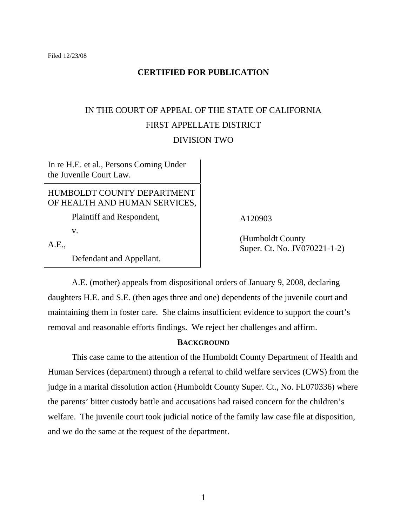## **CERTIFIED FOR PUBLICATION**

# IN THE COURT OF APPEAL OF THE STATE OF CALIFORNIA FIRST APPELLATE DISTRICT DIVISION TWO

In re H.E. et al., Persons Coming Under the Juvenile Court Law.

## HUMBOLDT COUNTY DEPARTMENT OF HEALTH AND HUMAN SERVICES,

Plaintiff and Respondent,

v.

A.E.,

Defendant and Appellant.

# A120903

(Humboldt County Super. Ct. No. JV070221-1-2)

 A.E. (mother) appeals from dispositional orders of January 9, 2008, declaring daughters H.E. and S.E. (then ages three and one) dependents of the juvenile court and maintaining them in foster care. She claims insufficient evidence to support the court's removal and reasonable efforts findings. We reject her challenges and affirm.

### **BACKGROUND**

 This case came to the attention of the Humboldt County Department of Health and Human Services (department) through a referral to child welfare services (CWS) from the judge in a marital dissolution action (Humboldt County Super. Ct., No. FL070336) where the parents' bitter custody battle and accusations had raised concern for the children's welfare. The juvenile court took judicial notice of the family law case file at disposition, and we do the same at the request of the department.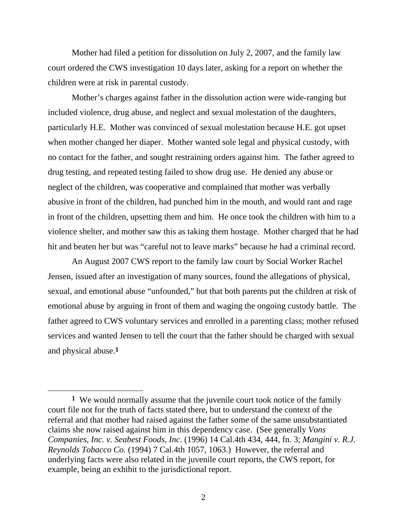Mother had filed a petition for dissolution on July 2, 2007, and the family law court ordered the CWS investigation 10 days later, asking for a report on whether the children were at risk in parental custody.

 Mother's charges against father in the dissolution action were wide-ranging but included violence, drug abuse, and neglect and sexual molestation of the daughters, particularly H.E. Mother was convinced of sexual molestation because H.E. got upset when mother changed her diaper. Mother wanted sole legal and physical custody, with no contact for the father, and sought restraining orders against him. The father agreed to drug testing, and repeated testing failed to show drug use. He denied any abuse or neglect of the children, was cooperative and complained that mother was verbally abusive in front of the children, had punched him in the mouth, and would rant and rage in front of the children, upsetting them and him. He once took the children with him to a violence shelter, and mother saw this as taking them hostage. Mother charged that he had hit and beaten her but was "careful not to leave marks" because he had a criminal record.

 An August 2007 CWS report to the family law court by Social Worker Rachel Jensen, issued after an investigation of many sources, found the allegations of physical, sexual, and emotional abuse "unfounded," but that both parents put the children at risk of emotional abuse by arguing in front of them and waging the ongoing custody battle. The father agreed to CWS voluntary services and enrolled in a parenting class; mother refused services and wanted Jensen to tell the court that the father should be charged with sexual and physical abuse.**1**

**<sup>1</sup>** We would normally assume that the juvenile court took notice of the family court file not for the truth of facts stated there, but to understand the context of the referral and that mother had raised against the father some of the same unsubstantiated claims she now raised against him in this dependency case. (See generally *Vons Companies, Inc. v. Seabest Foods, Inc.* (1996) 14 Cal.4th 434, 444, fn. 3; *Mangini v. R.J. Reynolds Tobacco Co.* (1994) 7 Cal.4th 1057, 1063.) However, the referral and underlying facts were also related in the juvenile court reports, the CWS report, for example, being an exhibit to the jurisdictional report.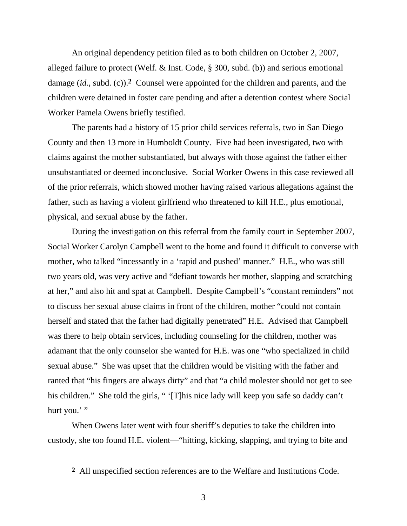An original dependency petition filed as to both children on October 2, 2007, alleged failure to protect (Welf. & Inst. Code, § 300, subd. (b)) and serious emotional damage (*id.*, subd. (c)).**2** Counsel were appointed for the children and parents, and the children were detained in foster care pending and after a detention contest where Social Worker Pamela Owens briefly testified.

 The parents had a history of 15 prior child services referrals, two in San Diego County and then 13 more in Humboldt County. Five had been investigated, two with claims against the mother substantiated, but always with those against the father either unsubstantiated or deemed inconclusive. Social Worker Owens in this case reviewed all of the prior referrals, which showed mother having raised various allegations against the father, such as having a violent girlfriend who threatened to kill H.E., plus emotional, physical, and sexual abuse by the father.

 During the investigation on this referral from the family court in September 2007, Social Worker Carolyn Campbell went to the home and found it difficult to converse with mother, who talked "incessantly in a 'rapid and pushed' manner." H.E., who was still two years old, was very active and "defiant towards her mother, slapping and scratching at her," and also hit and spat at Campbell. Despite Campbell's "constant reminders" not to discuss her sexual abuse claims in front of the children, mother "could not contain herself and stated that the father had digitally penetrated" H.E. Advised that Campbell was there to help obtain services, including counseling for the children, mother was adamant that the only counselor she wanted for H.E. was one "who specialized in child sexual abuse." She was upset that the children would be visiting with the father and ranted that "his fingers are always dirty" and that "a child molester should not get to see his children." She told the girls, " '[T]his nice lady will keep you safe so daddy can't hurt you.'"

 When Owens later went with four sheriff's deputies to take the children into custody, she too found H.E. violent—"hitting, kicking, slapping, and trying to bite and

**<sup>2</sup>** All unspecified section references are to the Welfare and Institutions Code.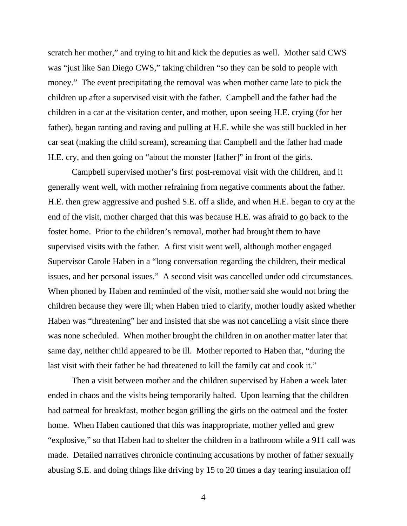scratch her mother," and trying to hit and kick the deputies as well. Mother said CWS was "just like San Diego CWS," taking children "so they can be sold to people with money." The event precipitating the removal was when mother came late to pick the children up after a supervised visit with the father. Campbell and the father had the children in a car at the visitation center, and mother, upon seeing H.E. crying (for her father), began ranting and raving and pulling at H.E. while she was still buckled in her car seat (making the child scream), screaming that Campbell and the father had made H.E. cry, and then going on "about the monster [father]" in front of the girls.

 Campbell supervised mother's first post-removal visit with the children, and it generally went well, with mother refraining from negative comments about the father. H.E. then grew aggressive and pushed S.E. off a slide, and when H.E. began to cry at the end of the visit, mother charged that this was because H.E. was afraid to go back to the foster home. Prior to the children's removal, mother had brought them to have supervised visits with the father. A first visit went well, although mother engaged Supervisor Carole Haben in a "long conversation regarding the children, their medical issues, and her personal issues." A second visit was cancelled under odd circumstances. When phoned by Haben and reminded of the visit, mother said she would not bring the children because they were ill; when Haben tried to clarify, mother loudly asked whether Haben was "threatening" her and insisted that she was not cancelling a visit since there was none scheduled. When mother brought the children in on another matter later that same day, neither child appeared to be ill. Mother reported to Haben that, "during the last visit with their father he had threatened to kill the family cat and cook it."

 Then a visit between mother and the children supervised by Haben a week later ended in chaos and the visits being temporarily halted. Upon learning that the children had oatmeal for breakfast, mother began grilling the girls on the oatmeal and the foster home. When Haben cautioned that this was inappropriate, mother yelled and grew "explosive," so that Haben had to shelter the children in a bathroom while a 911 call was made. Detailed narratives chronicle continuing accusations by mother of father sexually abusing S.E. and doing things like driving by 15 to 20 times a day tearing insulation off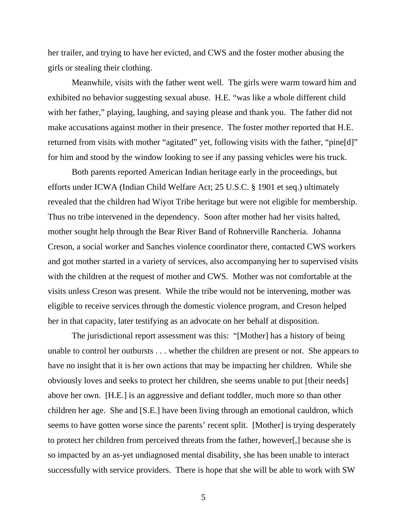her trailer, and trying to have her evicted, and CWS and the foster mother abusing the girls or stealing their clothing.

 Meanwhile, visits with the father went well. The girls were warm toward him and exhibited no behavior suggesting sexual abuse. H.E. "was like a whole different child with her father," playing, laughing, and saying please and thank you. The father did not make accusations against mother in their presence. The foster mother reported that H.E. returned from visits with mother "agitated" yet, following visits with the father, "pine[d]" for him and stood by the window looking to see if any passing vehicles were his truck.

 Both parents reported American Indian heritage early in the proceedings, but efforts under ICWA (Indian Child Welfare Act; 25 U.S.C. § 1901 et seq.) ultimately revealed that the children had Wiyot Tribe heritage but were not eligible for membership. Thus no tribe intervened in the dependency. Soon after mother had her visits halted, mother sought help through the Bear River Band of Rohnerville Rancheria. Johanna Creson, a social worker and Sanches violence coordinator there, contacted CWS workers and got mother started in a variety of services, also accompanying her to supervised visits with the children at the request of mother and CWS. Mother was not comfortable at the visits unless Creson was present. While the tribe would not be intervening, mother was eligible to receive services through the domestic violence program, and Creson helped her in that capacity, later testifying as an advocate on her behalf at disposition.

 The jurisdictional report assessment was this: "[Mother] has a history of being unable to control her outbursts . . . whether the children are present or not. She appears to have no insight that it is her own actions that may be impacting her children. While she obviously loves and seeks to protect her children, she seems unable to put [their needs] above her own. [H.E.] is an aggressive and defiant toddler, much more so than other children her age. She and [S.E.] have been living through an emotional cauldron, which seems to have gotten worse since the parents' recent split. [Mother] is trying desperately to protect her children from perceived threats from the father, however[,] because she is so impacted by an as-yet undiagnosed mental disability, she has been unable to interact successfully with service providers. There is hope that she will be able to work with SW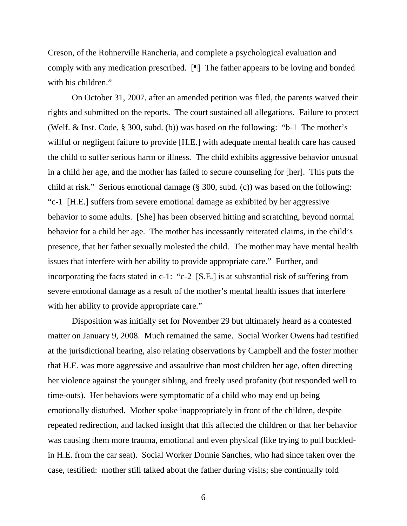Creson, of the Rohnerville Rancheria, and complete a psychological evaluation and comply with any medication prescribed. [¶] The father appears to be loving and bonded with his children."

 On October 31, 2007, after an amended petition was filed, the parents waived their rights and submitted on the reports. The court sustained all allegations. Failure to protect (Welf. & Inst. Code, § 300, subd. (b)) was based on the following: "b-1 The mother's willful or negligent failure to provide [H.E.] with adequate mental health care has caused the child to suffer serious harm or illness. The child exhibits aggressive behavior unusual in a child her age, and the mother has failed to secure counseling for [her]. This puts the child at risk." Serious emotional damage (§ 300, subd. (c)) was based on the following: "c-1 [H.E.] suffers from severe emotional damage as exhibited by her aggressive behavior to some adults. [She] has been observed hitting and scratching, beyond normal behavior for a child her age. The mother has incessantly reiterated claims, in the child's presence, that her father sexually molested the child. The mother may have mental health issues that interfere with her ability to provide appropriate care." Further, and incorporating the facts stated in c-1: "c-2 [S.E.] is at substantial risk of suffering from severe emotional damage as a result of the mother's mental health issues that interfere with her ability to provide appropriate care."

 Disposition was initially set for November 29 but ultimately heard as a contested matter on January 9, 2008. Much remained the same. Social Worker Owens had testified at the jurisdictional hearing, also relating observations by Campbell and the foster mother that H.E. was more aggressive and assaultive than most children her age, often directing her violence against the younger sibling, and freely used profanity (but responded well to time-outs). Her behaviors were symptomatic of a child who may end up being emotionally disturbed. Mother spoke inappropriately in front of the children, despite repeated redirection, and lacked insight that this affected the children or that her behavior was causing them more trauma, emotional and even physical (like trying to pull buckledin H.E. from the car seat). Social Worker Donnie Sanches, who had since taken over the case, testified: mother still talked about the father during visits; she continually told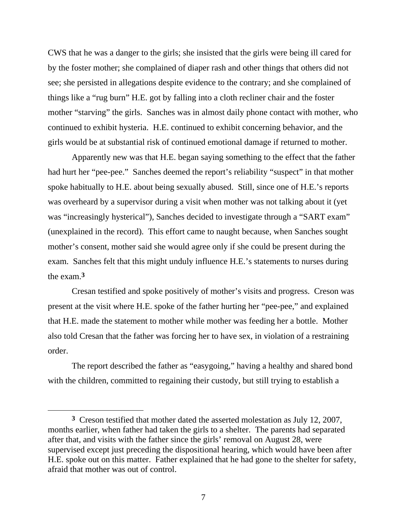CWS that he was a danger to the girls; she insisted that the girls were being ill cared for by the foster mother; she complained of diaper rash and other things that others did not see; she persisted in allegations despite evidence to the contrary; and she complained of things like a "rug burn" H.E. got by falling into a cloth recliner chair and the foster mother "starving" the girls. Sanches was in almost daily phone contact with mother, who continued to exhibit hysteria. H.E. continued to exhibit concerning behavior, and the girls would be at substantial risk of continued emotional damage if returned to mother.

 Apparently new was that H.E. began saying something to the effect that the father had hurt her "pee-pee." Sanches deemed the report's reliability "suspect" in that mother spoke habitually to H.E. about being sexually abused. Still, since one of H.E.'s reports was overheard by a supervisor during a visit when mother was not talking about it (yet was "increasingly hysterical"), Sanches decided to investigate through a "SART exam" (unexplained in the record). This effort came to naught because, when Sanches sought mother's consent, mother said she would agree only if she could be present during the exam. Sanches felt that this might unduly influence H.E.'s statements to nurses during the exam.**3**

 Cresan testified and spoke positively of mother's visits and progress. Creson was present at the visit where H.E. spoke of the father hurting her "pee-pee," and explained that H.E. made the statement to mother while mother was feeding her a bottle. Mother also told Cresan that the father was forcing her to have sex, in violation of a restraining order.

 The report described the father as "easygoing," having a healthy and shared bond with the children, committed to regaining their custody, but still trying to establish a

**<sup>3</sup>** Creson testified that mother dated the asserted molestation as July 12, 2007, months earlier, when father had taken the girls to a shelter. The parents had separated after that, and visits with the father since the girls' removal on August 28, were supervised except just preceding the dispositional hearing, which would have been after H.E. spoke out on this matter. Father explained that he had gone to the shelter for safety, afraid that mother was out of control.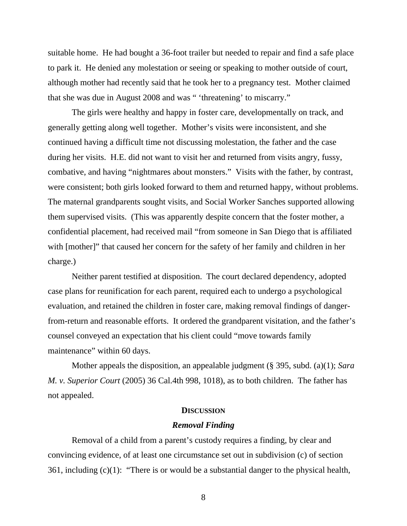suitable home. He had bought a 36-foot trailer but needed to repair and find a safe place to park it. He denied any molestation or seeing or speaking to mother outside of court, although mother had recently said that he took her to a pregnancy test. Mother claimed that she was due in August 2008 and was " 'threatening' to miscarry."

 The girls were healthy and happy in foster care, developmentally on track, and generally getting along well together. Mother's visits were inconsistent, and she continued having a difficult time not discussing molestation, the father and the case during her visits. H.E. did not want to visit her and returned from visits angry, fussy, combative, and having "nightmares about monsters." Visits with the father, by contrast, were consistent; both girls looked forward to them and returned happy, without problems. The maternal grandparents sought visits, and Social Worker Sanches supported allowing them supervised visits. (This was apparently despite concern that the foster mother, a confidential placement, had received mail "from someone in San Diego that is affiliated with [mother]" that caused her concern for the safety of her family and children in her charge.)

 Neither parent testified at disposition. The court declared dependency, adopted case plans for reunification for each parent, required each to undergo a psychological evaluation, and retained the children in foster care, making removal findings of dangerfrom-return and reasonable efforts. It ordered the grandparent visitation, and the father's counsel conveyed an expectation that his client could "move towards family maintenance" within 60 days.

Mother appeals the disposition, an appealable judgment (§ 395, subd. (a)(1); *Sara M. v. Superior Court* (2005) 36 Cal.4th 998, 1018), as to both children. The father has not appealed.

#### **DISCUSSION**

#### *Removal Finding*

 Removal of a child from a parent's custody requires a finding, by clear and convincing evidence, of at least one circumstance set out in subdivision (c) of section 361, including  $(c)(1)$ : "There is or would be a substantial danger to the physical health,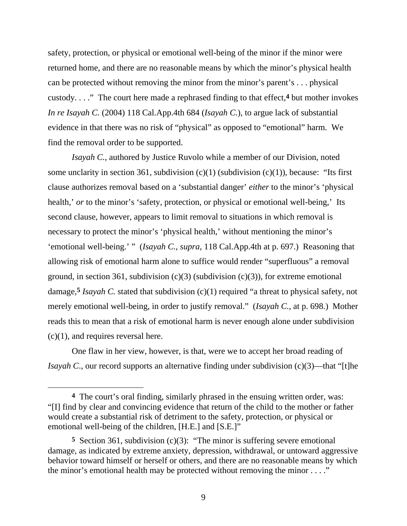safety, protection, or physical or emotional well-being of the minor if the minor were returned home, and there are no reasonable means by which the minor's physical health can be protected without removing the minor from the minor's parent's . . . physical custody. . . ." The court here made a rephrased finding to that effect,**4** but mother invokes *In re Isayah C.* (2004) 118 Cal.App.4th 684 (*Isayah C.*), to argue lack of substantial evidence in that there was no risk of "physical" as opposed to "emotional" harm. We find the removal order to be supported.

*Isayah C.*, authored by Justice Ruvolo while a member of our Division, noted some unclarity in section 361, subdivision  $(c)(1)$  (subdivision  $(c)(1)$ ), because: "Its first clause authorizes removal based on a 'substantial danger' *either* to the minor's 'physical health,' *or* to the minor's 'safety, protection, or physical or emotional well-being,' Its second clause, however, appears to limit removal to situations in which removal is necessary to protect the minor's 'physical health,' without mentioning the minor's 'emotional well-being.' " (*Isayah C.*, *supra*, 118 Cal.App.4th at p. 697.) Reasoning that allowing risk of emotional harm alone to suffice would render "superfluous" a removal ground, in section 361, subdivision  $(c)(3)$  (subdivision  $(c)(3)$ ), for extreme emotional damage,**5** *Isayah C.* stated that subdivision (c)(1) required "a threat to physical safety, not merely emotional well-being, in order to justify removal." (*Isayah C.*, at p. 698.) Mother reads this to mean that a risk of emotional harm is never enough alone under subdivision  $(c)(1)$ , and requires reversal here.

 One flaw in her view, however, is that, were we to accept her broad reading of *Isayah C*., our record supports an alternative finding under subdivision (c)(3)—that "[t]he

**<sup>4</sup>** The court's oral finding, similarly phrased in the ensuing written order, was: "[I] find by clear and convincing evidence that return of the child to the mother or father would create a substantial risk of detriment to the safety, protection, or physical or emotional well-being of the children, [H.E.] and [S.E.]"

**<sup>5</sup>** Section 361, subdivision (c)(3): "The minor is suffering severe emotional damage, as indicated by extreme anxiety, depression, withdrawal, or untoward aggressive behavior toward himself or herself or others, and there are no reasonable means by which the minor's emotional health may be protected without removing the minor  $\dots$ ."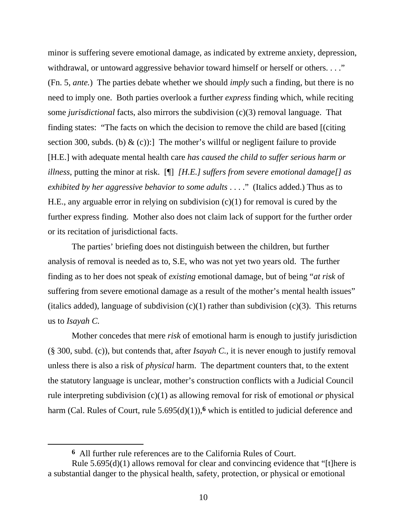minor is suffering severe emotional damage, as indicated by extreme anxiety, depression, withdrawal, or untoward aggressive behavior toward himself or herself or others. . . ." (Fn. 5, *ante.*) The parties debate whether we should *imply* such a finding, but there is no need to imply one. Both parties overlook a further *express* finding which, while reciting some *jurisdictional* facts, also mirrors the subdivision (c)(3) removal language. That finding states: "The facts on which the decision to remove the child are based [(citing section 300, subds. (b)  $\&$  (c)): The mother's willful or negligent failure to provide [H.E.] with adequate mental health care *has caused the child to suffer serious harm or illness*, putting the minor at risk. [¶] *[H.E.] suffers from severe emotional damage[] as exhibited by her aggressive behavior to some adults* . . . ." (Italics added.) Thus as to H.E., any arguable error in relying on subdivision (c)(1) for removal is cured by the further express finding. Mother also does not claim lack of support for the further order or its recitation of jurisdictional facts.

 The parties' briefing does not distinguish between the children, but further analysis of removal is needed as to, S.E, who was not yet two years old. The further finding as to her does not speak of *existing* emotional damage, but of being "*at risk* of suffering from severe emotional damage as a result of the mother's mental health issues" (italics added), language of subdivision  $(c)(1)$  rather than subdivision  $(c)(3)$ . This returns us to *Isayah C.*

 Mother concedes that mere *risk* of emotional harm is enough to justify jurisdiction (§ 300, subd. (c)), but contends that, after *Isayah C.*, it is never enough to justify removal unless there is also a risk of *physical* harm. The department counters that, to the extent the statutory language is unclear, mother's construction conflicts with a Judicial Council rule interpreting subdivision (c)(1) as allowing removal for risk of emotional *or* physical harm (Cal. Rules of Court, rule 5.695(d)(1)),<sup>6</sup> which is entitled to judicial deference and

**<sup>6</sup>** All further rule references are to the California Rules of Court.

Rule 5.695(d)(1) allows removal for clear and convincing evidence that "[t]here is a substantial danger to the physical health, safety, protection, or physical or emotional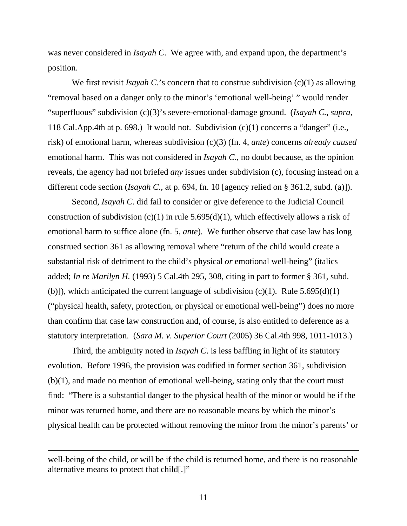was never considered in *Isayah C*. We agree with, and expand upon, the department's position.

We first revisit *Isayah C*.'s concern that to construe subdivision (c)(1) as allowing "removal based on a danger only to the minor's 'emotional well-being' " would render "superfluous" subdivision (c)(3)'s severe-emotional-damage ground. (*Isayah C.*, *supra*, 118 Cal.App.4th at p. 698.) It would not. Subdivision (c)(1) concerns a "danger" (i.e., risk) of emotional harm, whereas subdivision (c)(3) (fn. 4, *ante*) concerns *already caused* emotional harm. This was not considered in *Isayah C*., no doubt because, as the opinion reveals, the agency had not briefed *any* issues under subdivision (c), focusing instead on a different code section (*Isayah C.,* at p. 694, fn. 10 [agency relied on § 361.2, subd. (a)]).

 Second, *Isayah C.* did fail to consider or give deference to the Judicial Council construction of subdivision  $(c)(1)$  in rule 5.695(d)(1), which effectively allows a risk of emotional harm to suffice alone (fn. 5, *ante*). We further observe that case law has long construed section 361 as allowing removal where "return of the child would create a substantial risk of detriment to the child's physical *or* emotional well-being" (italics added; *In re Marilyn H.* (1993) 5 Cal.4th 295, 308, citing in part to former § 361, subd. (b)]), which anticipated the current language of subdivision  $(c)(1)$ . Rule 5.695(d)(1) ("physical health, safety, protection, or physical or emotional well-being") does no more than confirm that case law construction and, of course, is also entitled to deference as a statutory interpretation. (*Sara M. v. Superior Court* (2005) 36 Cal.4th 998, 1011-1013.)

 Third, the ambiguity noted in *Isayah C*. is less baffling in light of its statutory evolution. Before 1996, the provision was codified in former section 361, subdivision (b)(1), and made no mention of emotional well-being, stating only that the court must find: "There is a substantial danger to the physical health of the minor or would be if the minor was returned home, and there are no reasonable means by which the minor's physical health can be protected without removing the minor from the minor's parents' or

well-being of the child, or will be if the child is returned home, and there is no reasonable alternative means to protect that child[.]"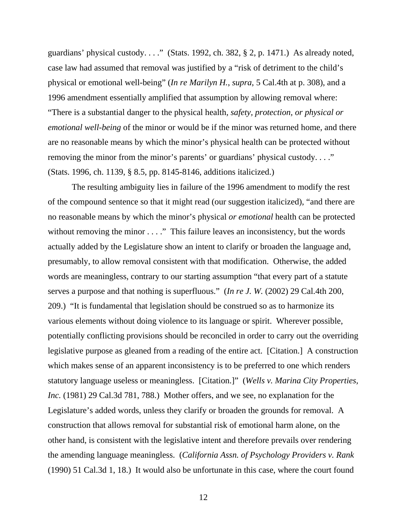guardians' physical custody. . . ." (Stats. 1992, ch. 382,  $\S$  2, p. 1471.) As already noted, case law had assumed that removal was justified by a "risk of detriment to the child's physical or emotional well-being" (*In re Marilyn H.*, *supra*, 5 Cal.4th at p. 308), and a 1996 amendment essentially amplified that assumption by allowing removal where: "There is a substantial danger to the physical health*, safety, protection, or physical or emotional well-being* of the minor or would be if the minor was returned home, and there are no reasonable means by which the minor's physical health can be protected without removing the minor from the minor's parents' or guardians' physical custody. . . ." (Stats. 1996, ch. 1139, § 8.5, pp. 8145-8146, additions italicized.)

 The resulting ambiguity lies in failure of the 1996 amendment to modify the rest of the compound sentence so that it might read (our suggestion italicized), "and there are no reasonable means by which the minor's physical *or emotional* health can be protected without removing the minor . . . ." This failure leaves an inconsistency, but the words actually added by the Legislature show an intent to clarify or broaden the language and, presumably, to allow removal consistent with that modification. Otherwise, the added words are meaningless, contrary to our starting assumption "that every part of a statute serves a purpose and that nothing is superfluous." (*In re J. W.* (2002) 29 Cal.4th 200, 209.) "It is fundamental that legislation should be construed so as to harmonize its various elements without doing violence to its language or spirit. Wherever possible, potentially conflicting provisions should be reconciled in order to carry out the overriding legislative purpose as gleaned from a reading of the entire act. [Citation.] A construction which makes sense of an apparent inconsistency is to be preferred to one which renders statutory language useless or meaningless. [Citation.]" (*Wells v. Marina City Properties, Inc.* (1981) 29 Cal.3d 781, 788.) Mother offers, and we see, no explanation for the Legislature's added words, unless they clarify or broaden the grounds for removal. A construction that allows removal for substantial risk of emotional harm alone, on the other hand, is consistent with the legislative intent and therefore prevails over rendering the amending language meaningless. (*California Assn. of Psychology Providers v. Rank* (1990) 51 Cal.3d 1, 18.) It would also be unfortunate in this case, where the court found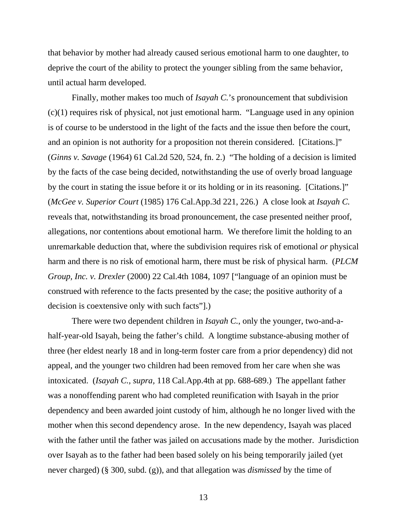that behavior by mother had already caused serious emotional harm to one daughter, to deprive the court of the ability to protect the younger sibling from the same behavior, until actual harm developed.

 Finally, mother makes too much of *Isayah C.*'s pronouncement that subdivision (c)(1) requires risk of physical, not just emotional harm. "Language used in any opinion is of course to be understood in the light of the facts and the issue then before the court, and an opinion is not authority for a proposition not therein considered. [Citations.]" (*Ginns v. Savage* (1964) 61 Cal.2d 520, 524, fn. 2.) "The holding of a decision is limited by the facts of the case being decided, notwithstanding the use of overly broad language by the court in stating the issue before it or its holding or in its reasoning. [Citations.]" (*McGee v. Superior Court* (1985) 176 Cal.App.3d 221, 226.) A close look at *Isayah C.* reveals that, notwithstanding its broad pronouncement, the case presented neither proof, allegations, nor contentions about emotional harm. We therefore limit the holding to an unremarkable deduction that, where the subdivision requires risk of emotional *or* physical harm and there is no risk of emotional harm, there must be risk of physical harm. (*PLCM Group, Inc. v. Drexler* (2000) 22 Cal.4th 1084, 1097 ["language of an opinion must be construed with reference to the facts presented by the case; the positive authority of a decision is coextensive only with such facts"].)

 There were two dependent children in *Isayah C.*, only the younger, two-and-ahalf-year-old Isayah, being the father's child. A longtime substance-abusing mother of three (her eldest nearly 18 and in long-term foster care from a prior dependency) did not appeal, and the younger two children had been removed from her care when she was intoxicated. (*Isayah C., supra,* 118 Cal.App.4th at pp. 688-689.) The appellant father was a nonoffending parent who had completed reunification with Isayah in the prior dependency and been awarded joint custody of him, although he no longer lived with the mother when this second dependency arose. In the new dependency, Isayah was placed with the father until the father was jailed on accusations made by the mother. Jurisdiction over Isayah as to the father had been based solely on his being temporarily jailed (yet never charged) (§ 300, subd. (g)), and that allegation was *dismissed* by the time of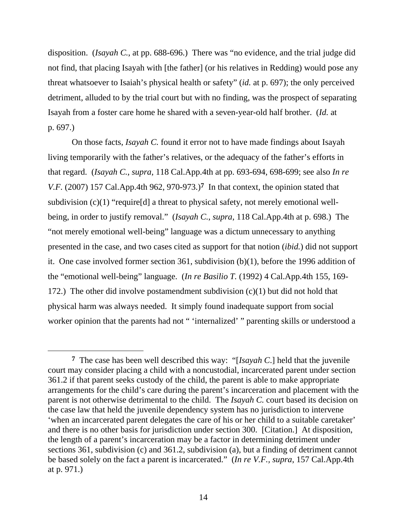disposition. (*Isayah C.*, at pp. 688-696.) There was "no evidence, and the trial judge did not find, that placing Isayah with [the father] (or his relatives in Redding) would pose any threat whatsoever to Isaiah's physical health or safety" (*id.* at p. 697); the only perceived detriment, alluded to by the trial court but with no finding, was the prospect of separating Isayah from a foster care home he shared with a seven-year-old half brother. (*Id.* at p. 697.)

 On those facts, *Isayah C.* found it error not to have made findings about Isayah living temporarily with the father's relatives, or the adequacy of the father's efforts in that regard. (*Isayah C.*, *supra*, 118 Cal.App.4th at pp. 693-694, 698-699; see also *In re V.F.* (2007) 157 Cal.App.4th 962, 970-973.)**7** In that context, the opinion stated that subdivision  $(c)(1)$  "require[d] a threat to physical safety, not merely emotional wellbeing, in order to justify removal." (*Isayah C.*, *supra*, 118 Cal.App.4th at p. 698.) The "not merely emotional well-being" language was a dictum unnecessary to anything presented in the case, and two cases cited as support for that notion (*ibid.*) did not support it. One case involved former section 361, subdivision (b)(1), before the 1996 addition of the "emotional well-being" language. (*In re Basilio T.* (1992) 4 Cal.App.4th 155, 169- 172.) The other did involve postamendment subdivision (c)(1) but did not hold that physical harm was always needed. It simply found inadequate support from social worker opinion that the parents had not " 'internalized' " parenting skills or understood a

**<sup>7</sup>** The case has been well described this way: "[*Isayah C*.] held that the juvenile court may consider placing a child with a noncustodial, incarcerated parent under section 361.2 if that parent seeks custody of the child, the parent is able to make appropriate arrangements for the child's care during the parent's incarceration and placement with the parent is not otherwise detrimental to the child. The *Isayah C.* court based its decision on the case law that held the juvenile dependency system has no jurisdiction to intervene 'when an incarcerated parent delegates the care of his or her child to a suitable caretaker' and there is no other basis for jurisdiction under section 300. [Citation.] At disposition, the length of a parent's incarceration may be a factor in determining detriment under sections 361, subdivision (c) and 361.2, subdivision (a), but a finding of detriment cannot be based solely on the fact a parent is incarcerated." (*In re V.F., supra*, 157 Cal.App.4th at p. 971.)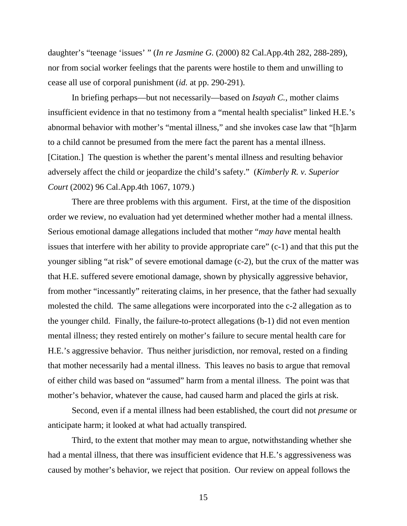daughter's "teenage 'issues' " (*In re Jasmine G.* (2000) 82 Cal.App.4th 282, 288-289), nor from social worker feelings that the parents were hostile to them and unwilling to cease all use of corporal punishment (*id.* at pp. 290-291).

 In briefing perhaps—but not necessarily—based on *Isayah C.*, mother claims insufficient evidence in that no testimony from a "mental health specialist" linked H.E.'s abnormal behavior with mother's "mental illness," and she invokes case law that "[h]arm to a child cannot be presumed from the mere fact the parent has a mental illness. [Citation.] The question is whether the parent's mental illness and resulting behavior adversely affect the child or jeopardize the child's safety." (*Kimberly R. v. Superior Court* (2002) 96 Cal.App.4th 1067, 1079.)

 There are three problems with this argument. First, at the time of the disposition order we review, no evaluation had yet determined whether mother had a mental illness. Serious emotional damage allegations included that mother "*may have* mental health issues that interfere with her ability to provide appropriate care" (c-1) and that this put the younger sibling "at risk" of severe emotional damage (c-2), but the crux of the matter was that H.E. suffered severe emotional damage, shown by physically aggressive behavior, from mother "incessantly" reiterating claims, in her presence, that the father had sexually molested the child. The same allegations were incorporated into the c-2 allegation as to the younger child. Finally, the failure-to-protect allegations (b-1) did not even mention mental illness; they rested entirely on mother's failure to secure mental health care for H.E.'s aggressive behavior. Thus neither jurisdiction, nor removal, rested on a finding that mother necessarily had a mental illness. This leaves no basis to argue that removal of either child was based on "assumed" harm from a mental illness. The point was that mother's behavior, whatever the cause, had caused harm and placed the girls at risk.

 Second, even if a mental illness had been established, the court did not *presume* or anticipate harm; it looked at what had actually transpired.

 Third, to the extent that mother may mean to argue, notwithstanding whether she had a mental illness, that there was insufficient evidence that H.E.'s aggressiveness was caused by mother's behavior, we reject that position. Our review on appeal follows the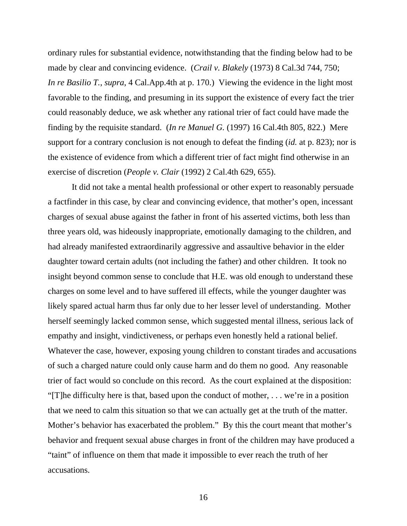ordinary rules for substantial evidence, notwithstanding that the finding below had to be made by clear and convincing evidence. (*Crail v. Blakely* (1973) 8 Cal.3d 744, 750; *In re Basilio T.*, *supra*, 4 Cal.App.4th at p. 170.) Viewing the evidence in the light most favorable to the finding, and presuming in its support the existence of every fact the trier could reasonably deduce, we ask whether any rational trier of fact could have made the finding by the requisite standard. (*In re Manuel G.* (1997) 16 Cal.4th 805, 822.) Mere support for a contrary conclusion is not enough to defeat the finding (*id.* at p. 823); nor is the existence of evidence from which a different trier of fact might find otherwise in an exercise of discretion (*People v. Clair* (1992) 2 Cal.4th 629, 655).

 It did not take a mental health professional or other expert to reasonably persuade a factfinder in this case, by clear and convincing evidence, that mother's open, incessant charges of sexual abuse against the father in front of his asserted victims, both less than three years old, was hideously inappropriate, emotionally damaging to the children, and had already manifested extraordinarily aggressive and assaultive behavior in the elder daughter toward certain adults (not including the father) and other children. It took no insight beyond common sense to conclude that H.E. was old enough to understand these charges on some level and to have suffered ill effects, while the younger daughter was likely spared actual harm thus far only due to her lesser level of understanding. Mother herself seemingly lacked common sense, which suggested mental illness, serious lack of empathy and insight, vindictiveness, or perhaps even honestly held a rational belief. Whatever the case, however, exposing young children to constant tirades and accusations of such a charged nature could only cause harm and do them no good. Any reasonable trier of fact would so conclude on this record. As the court explained at the disposition: "[T]he difficulty here is that, based upon the conduct of mother, . . . we're in a position that we need to calm this situation so that we can actually get at the truth of the matter. Mother's behavior has exacerbated the problem." By this the court meant that mother's behavior and frequent sexual abuse charges in front of the children may have produced a "taint" of influence on them that made it impossible to ever reach the truth of her accusations.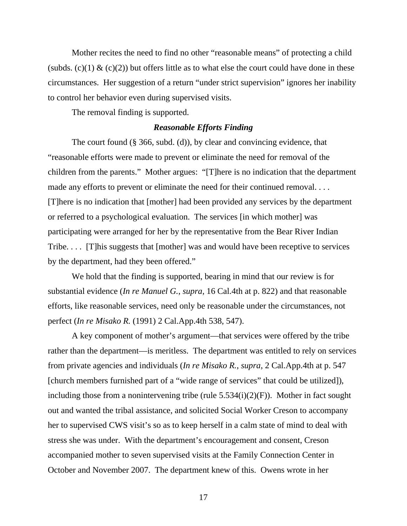Mother recites the need to find no other "reasonable means" of protecting a child (subds. (c)(1)  $\&$  (c)(2)) but offers little as to what else the court could have done in these circumstances. Her suggestion of a return "under strict supervision" ignores her inability to control her behavior even during supervised visits.

The removal finding is supported.

## *Reasonable Efforts Finding*

 The court found (§ 366, subd. (d)), by clear and convincing evidence, that "reasonable efforts were made to prevent or eliminate the need for removal of the children from the parents." Mother argues: "[T]here is no indication that the department made any efforts to prevent or eliminate the need for their continued removal. . . . [T]here is no indication that [mother] had been provided any services by the department or referred to a psychological evaluation. The services [in which mother] was participating were arranged for her by the representative from the Bear River Indian Tribe. . . . [T]his suggests that [mother] was and would have been receptive to services by the department, had they been offered."

 We hold that the finding is supported, bearing in mind that our review is for substantial evidence (*In re Manuel G.*, *supra*, 16 Cal.4th at p. 822) and that reasonable efforts, like reasonable services, need only be reasonable under the circumstances, not perfect (*In re Misako R.* (1991) 2 Cal.App.4th 538, 547).

 A key component of mother's argument—that services were offered by the tribe rather than the department—is meritless. The department was entitled to rely on services from private agencies and individuals (*In re Misako R.*, *supra*, 2 Cal.App.4th at p. 547 [church members furnished part of a "wide range of services" that could be utilized]), including those from a nonintervening tribe (rule  $5.534(i)(2)(F)$ ). Mother in fact sought out and wanted the tribal assistance, and solicited Social Worker Creson to accompany her to supervised CWS visit's so as to keep herself in a calm state of mind to deal with stress she was under. With the department's encouragement and consent, Creson accompanied mother to seven supervised visits at the Family Connection Center in October and November 2007. The department knew of this. Owens wrote in her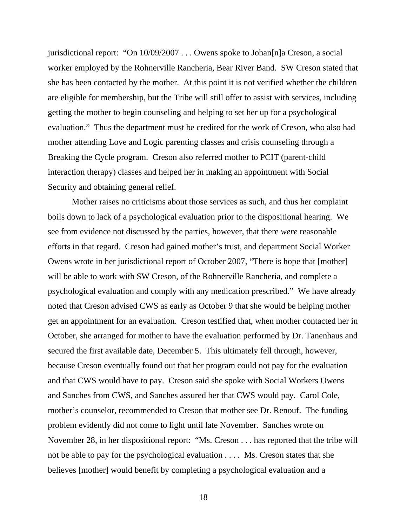jurisdictional report: "On 10/09/2007 . . . Owens spoke to Johan[n]a Creson, a social worker employed by the Rohnerville Rancheria, Bear River Band. SW Creson stated that she has been contacted by the mother. At this point it is not verified whether the children are eligible for membership, but the Tribe will still offer to assist with services, including getting the mother to begin counseling and helping to set her up for a psychological evaluation." Thus the department must be credited for the work of Creson, who also had mother attending Love and Logic parenting classes and crisis counseling through a Breaking the Cycle program. Creson also referred mother to PCIT (parent-child interaction therapy) classes and helped her in making an appointment with Social Security and obtaining general relief.

 Mother raises no criticisms about those services as such, and thus her complaint boils down to lack of a psychological evaluation prior to the dispositional hearing. We see from evidence not discussed by the parties, however, that there *were* reasonable efforts in that regard. Creson had gained mother's trust, and department Social Worker Owens wrote in her jurisdictional report of October 2007, "There is hope that [mother] will be able to work with SW Creson, of the Rohnerville Rancheria, and complete a psychological evaluation and comply with any medication prescribed." We have already noted that Creson advised CWS as early as October 9 that she would be helping mother get an appointment for an evaluation. Creson testified that, when mother contacted her in October, she arranged for mother to have the evaluation performed by Dr. Tanenhaus and secured the first available date, December 5. This ultimately fell through, however, because Creson eventually found out that her program could not pay for the evaluation and that CWS would have to pay. Creson said she spoke with Social Workers Owens and Sanches from CWS, and Sanches assured her that CWS would pay. Carol Cole, mother's counselor, recommended to Creson that mother see Dr. Renouf. The funding problem evidently did not come to light until late November. Sanches wrote on November 28, in her dispositional report: "Ms. Creson . . . has reported that the tribe will not be able to pay for the psychological evaluation . . . . Ms. Creson states that she believes [mother] would benefit by completing a psychological evaluation and a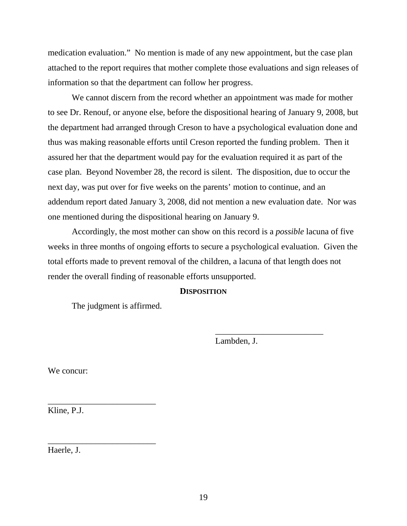medication evaluation." No mention is made of any new appointment, but the case plan attached to the report requires that mother complete those evaluations and sign releases of information so that the department can follow her progress.

 We cannot discern from the record whether an appointment was made for mother to see Dr. Renouf, or anyone else, before the dispositional hearing of January 9, 2008, but the department had arranged through Creson to have a psychological evaluation done and thus was making reasonable efforts until Creson reported the funding problem. Then it assured her that the department would pay for the evaluation required it as part of the case plan. Beyond November 28, the record is silent. The disposition, due to occur the next day, was put over for five weeks on the parents' motion to continue, and an addendum report dated January 3, 2008, did not mention a new evaluation date. Nor was one mentioned during the dispositional hearing on January 9.

 Accordingly, the most mother can show on this record is a *possible* lacuna of five weeks in three months of ongoing efforts to secure a psychological evaluation. Given the total efforts made to prevent removal of the children, a lacuna of that length does not render the overall finding of reasonable efforts unsupported.

#### **DISPOSITION**

 $\frac{1}{\sqrt{2}}$  ,  $\frac{1}{\sqrt{2}}$  ,  $\frac{1}{\sqrt{2}}$  ,  $\frac{1}{\sqrt{2}}$  ,  $\frac{1}{\sqrt{2}}$  ,  $\frac{1}{\sqrt{2}}$  ,  $\frac{1}{\sqrt{2}}$  ,  $\frac{1}{\sqrt{2}}$  ,  $\frac{1}{\sqrt{2}}$  ,  $\frac{1}{\sqrt{2}}$  ,  $\frac{1}{\sqrt{2}}$  ,  $\frac{1}{\sqrt{2}}$  ,  $\frac{1}{\sqrt{2}}$  ,  $\frac{1}{\sqrt{2}}$  ,  $\frac{1}{\sqrt{2}}$ 

The judgment is affirmed.

\_\_\_\_\_\_\_\_\_\_\_\_\_\_\_\_\_\_\_\_\_\_\_\_\_

\_\_\_\_\_\_\_\_\_\_\_\_\_\_\_\_\_\_\_\_\_\_\_\_\_

Lambden, J.

We concur:

Kline, P.J.

Haerle, J.